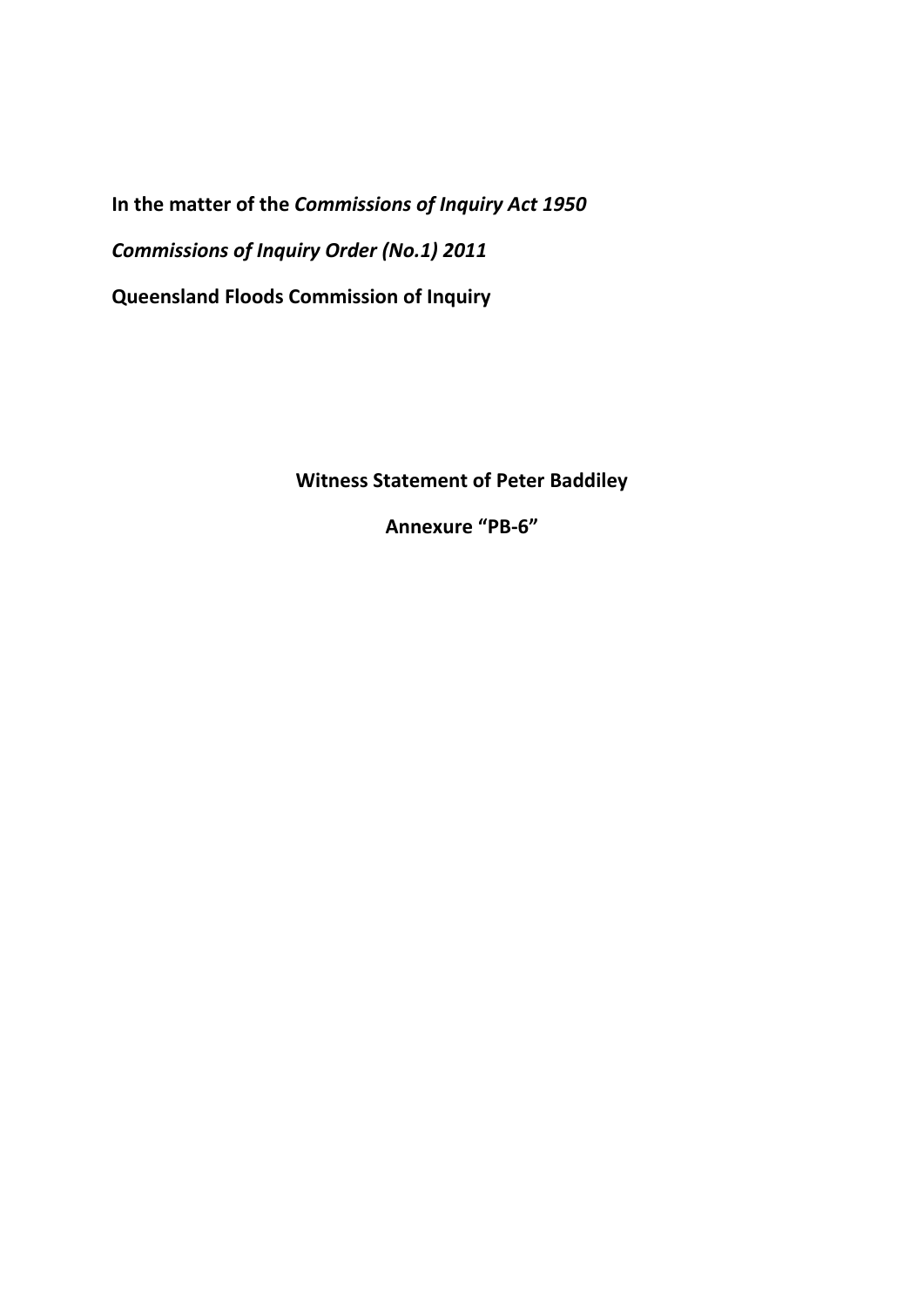**In the matter of the** *Commissions of Inquiry Act 1950 Commissions of Inquiry Order (No.1) 2011*  **Queensland Floods Commission of Inquiry** 

**Witness Statement of Peter Baddiley** 

**Annexure "PB-6"**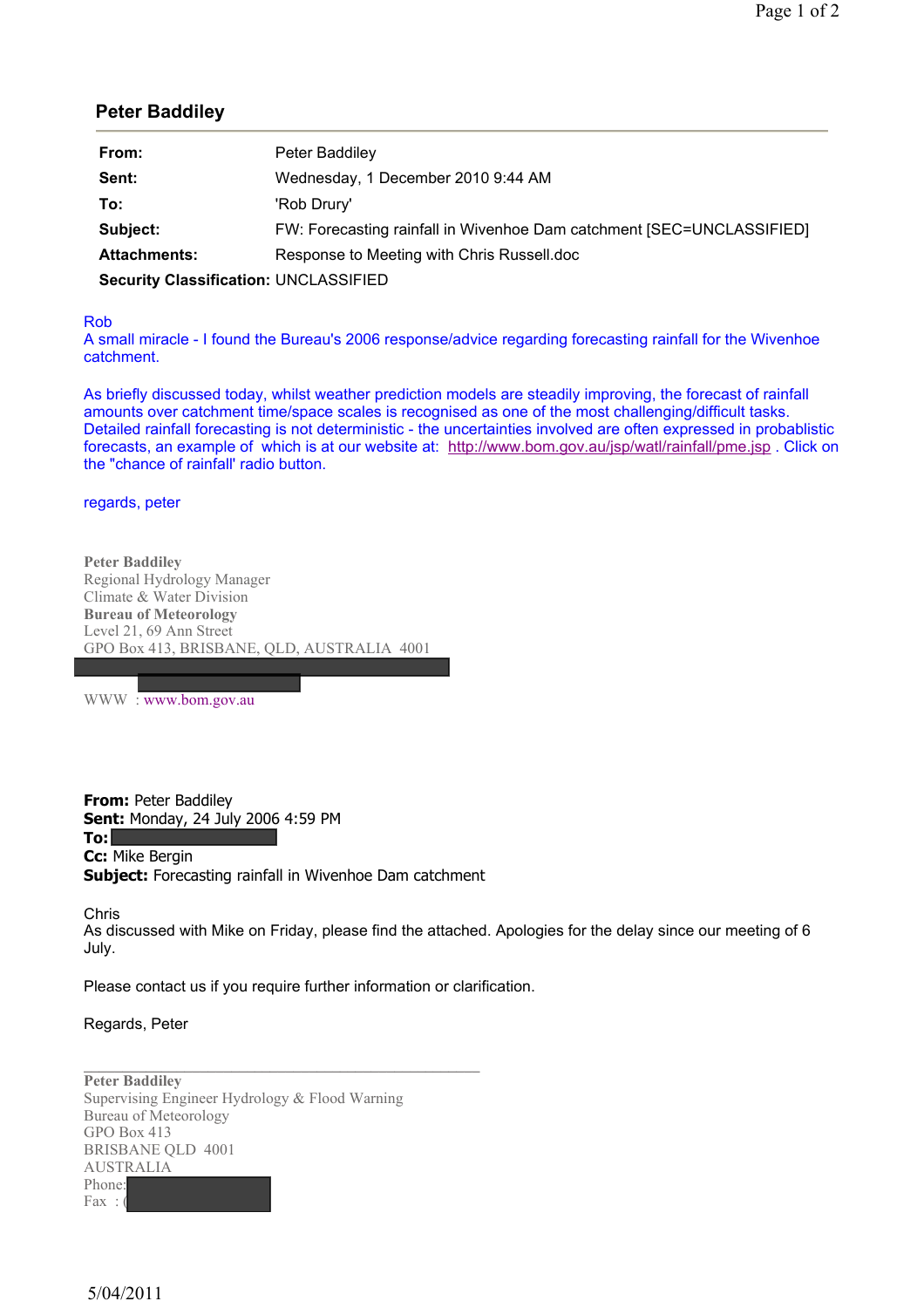## **Peter Baddiley**

| From:                                        | Peter Baddiley                                                        |
|----------------------------------------------|-----------------------------------------------------------------------|
| Sent:                                        | Wednesday, 1 December 2010 9:44 AM                                    |
| To:                                          | 'Rob Drury'                                                           |
| Subject:                                     | FW: Forecasting rainfall in Wivenhoe Dam catchment [SEC=UNCLASSIFIED] |
| <b>Attachments:</b>                          | Response to Meeting with Chris Russell.doc                            |
| <b>Security Classification: UNCLASSIFIED</b> |                                                                       |

## Rob

A small miracle - I found the Bureau's 2006 response/advice regarding forecasting rainfall for the Wivenhoe catchment.

As briefly discussed today, whilst weather prediction models are steadily improving, the forecast of rainfall amounts over catchment time/space scales is recognised as one of the most challenging/difficult tasks. Detailed rainfall forecasting is not deterministic - the uncertainties involved are often expressed in probablistic forecasts, an example of which is at our website at: http://www.bom.gov.au/jsp/watl/rainfall/pme.jsp . Click on the "chance of rainfall' radio button.

## regards, peter

**Peter Baddiley**  Regional Hydrology Manager Climate & Water Division **Bureau of Meteorology** Level 21, 69 Ann Street GPO Box 413, BRISBANE, QLD, AUSTRALIA 4001

WWW : www.bom.gov.au

**From:** Peter Baddiley **Sent:** Monday, 24 July 2006 4:59 PM **To: Cc:** Mike Bergin **Subject:** Forecasting rainfall in Wivenhoe Dam catchment

Chris

As discussed with Mike on Friday, please find the attached. Apologies for the delay since our meeting of 6 July.

Please contact us if you require further information or clarification.

Regards, Peter

**Peter Baddiley**  Supervising Engineer Hydrology & Flood Warning Bureau of Meteorology GPO Box 413 BRISBANE QLD 4001 AUSTRALIA Phone: Fax :